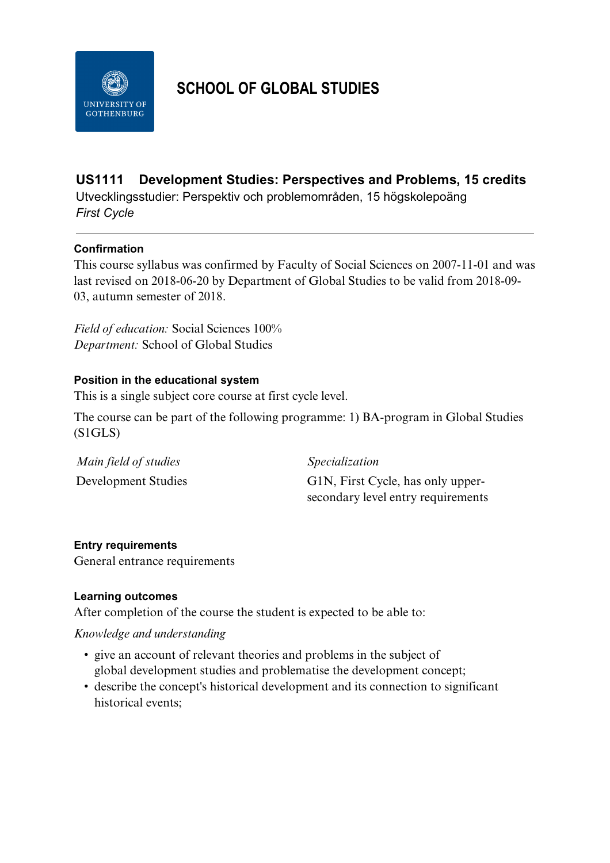

# **SCHOOL OF GLOBAL STUDIES**

# **US1111 Development Studies: Perspectives and Problems, 15 credits**

Utvecklingsstudier: Perspektiv och problemområden, 15 högskolepoäng *First Cycle*

### **Confirmation**

This course syllabus was confirmed by Faculty of Social Sciences on 2007-11-01 and was last revised on 2018-06-20 by Department of Global Studies to be valid from 2018-09- 03, autumn semester of 2018.

*Field of education:* Social Sciences 100% *Department:* School of Global Studies

### **Position in the educational system**

This is a single subject core course at first cycle level.

The course can be part of the following programme: 1) BA-program in Global Studies (S1GLS)

| Main field of studies | <i>Specialization</i>              |
|-----------------------|------------------------------------|
| Development Studies   | G1N, First Cycle, has only upper-  |
|                       | secondary level entry requirements |

#### **Entry requirements**

General entrance requirements

#### **Learning outcomes**

After completion of the course the student is expected to be able to:

#### *Knowledge and understanding*

- give an account of relevant theories and problems in the subject of global development studies and problematise the development concept;
- describe the concept's historical development and its connection to significant historical events;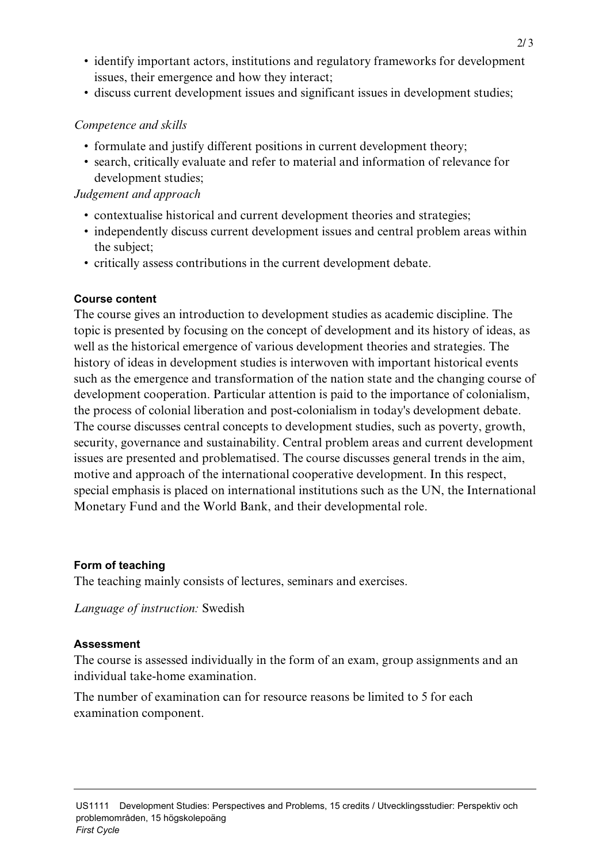- identify important actors, institutions and regulatory frameworks for development issues, their emergence and how they interact;
- discuss current development issues and significant issues in development studies;

## *Competence and skills*

- formulate and justify different positions in current development theory;
- search, critically evaluate and refer to material and information of relevance for development studies;

*Judgement and approach*

- contextualise historical and current development theories and strategies;
- independently discuss current development issues and central problem areas within the subject;
- critically assess contributions in the current development debate.

## **Course content**

The course gives an introduction to development studies as academic discipline. The topic is presented by focusing on the concept of development and its history of ideas, as well as the historical emergence of various development theories and strategies. The history of ideas in development studies is interwoven with important historical events such as the emergence and transformation of the nation state and the changing course of development cooperation. Particular attention is paid to the importance of colonialism, the process of colonial liberation and post-colonialism in today's development debate. The course discusses central concepts to development studies, such as poverty, growth, security, governance and sustainability. Central problem areas and current development issues are presented and problematised. The course discusses general trends in the aim, motive and approach of the international cooperative development. In this respect, special emphasis is placed on international institutions such as the UN, the International Monetary Fund and the World Bank, and their developmental role.

## **Form of teaching**

The teaching mainly consists of lectures, seminars and exercises.

*Language of instruction:* Swedish

# **Assessment**

The course is assessed individually in the form of an exam, group assignments and an individual take-home examination.

The number of examination can for resource reasons be limited to 5 for each examination component.